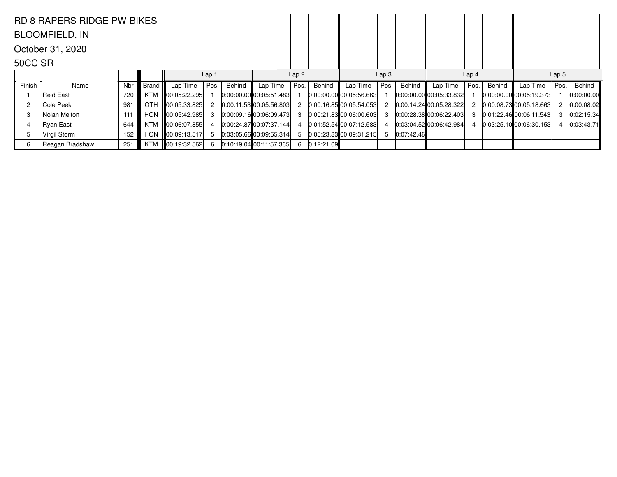|                | <b>RD 8 RAPERS RIDGE PW BIKES</b> |     |              |              |                  |        |                             |                  |              |                             |                  |            |                           |      |        |                         |      |            |
|----------------|-----------------------------------|-----|--------------|--------------|------------------|--------|-----------------------------|------------------|--------------|-----------------------------|------------------|------------|---------------------------|------|--------|-------------------------|------|------------|
|                | <b>BLOOMFIELD, IN</b>             |     |              |              |                  |        |                             |                  |              |                             |                  |            |                           |      |        |                         |      |            |
|                | October 31, 2020                  |     |              |              |                  |        |                             |                  |              |                             |                  |            |                           |      |        |                         |      |            |
| 50CC SR        |                                   |     |              |              |                  |        |                             |                  |              |                             |                  |            |                           |      |        |                         |      |            |
|                |                                   |     |              |              | Lap <sub>1</sub> |        |                             | Lap <sub>2</sub> |              |                             | Lap <sub>3</sub> |            |                           |      |        | Lap <sub>5</sub>        |      |            |
| Finish         | Name                              | Nbr | <b>Brand</b> | Lap Time     | Pos.             | Behind | Lap Time                    | Pos.             | Behind       | Lap Time                    | Pos.             | Behind     | Lap Time                  | Pos. | Behind | Lap Time                | Pos. | Behind     |
|                | ∥Reid East                        | 720 | KTM          |              |                  |        | $0.00:00.00$ 00:05:51.483   |                  |              | $0:00:00.00$ 00:05:56.663   |                  |            | $0:00:00.00$ 00:05:33.832 |      |        | 0.00:00.00000:05:19.373 |      | 0:00:00.00 |
| $\overline{c}$ | Cole Peek                         | 981 | <b>OTH</b>   | 00:05:33.825 |                  |        | 0:00:11.53 00:05:56.803     |                  |              | 0:00:16.8500:05:54.053      |                  |            | [0.00:14.24]00:05:28.322] | 2    |        | 0:00:08.73 00:05:18.663 |      | 0:00:08.02 |
| 3              | Nolan Melton                      | 111 | <b>HON</b>   | 00:05:42.985 |                  |        | $[0:00:09.16]$ 00:06:09.473 |                  |              | $[0:00:21.83]$ 00:06:00.603 |                  |            | 0:00:28.3800:06:22.403    |      |        | 0:01:22.46100:06:11.543 |      | 0:02:15.34 |
|                | ∥Ryan East                        | 644 | KTM          | 00:06:07.855 |                  |        | 0.00:24.8700:07:37.144      |                  |              | 0:01:52.5400:07:12.583      |                  |            | 0.03:04.52 00:06:42.984   |      |        | 0.03:25.10 00:06:30.153 |      | 0:03:43.71 |
| 5              | Virgil Storm                      | 152 | <b>HON</b>   | 00:09:13.517 |                  |        | 0.03:05.66 00:09:55.314     |                  |              | 0:05:23.83 00:09:31.215     | 5                | 0:07:42.46 |                           |      |        |                         |      |            |
| 6              | Reagan Bradshaw                   | 251 | KTM          | 00:19:32.562 |                  |        | 0.10.19.04 00.11.57.365     |                  | 6 0:12:21.09 |                             |                  |            |                           |      |        |                         |      |            |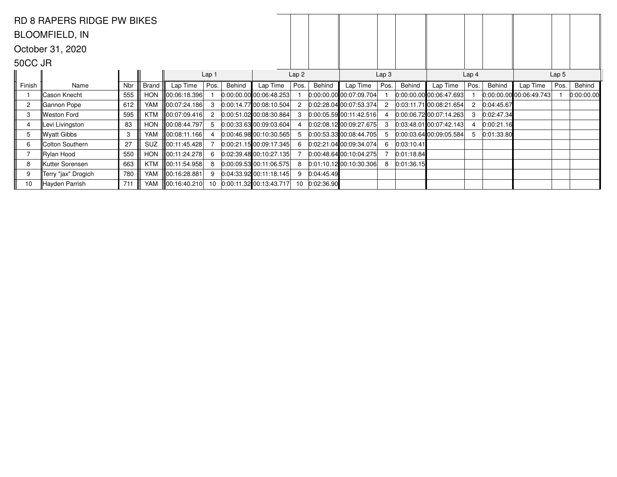|         | <b>RD 8 RAPERS RIDGE PW BIKES</b> |     |              |                          |                  |        |                           |                  |            |                             |                  |            |                           |                  |            |                         |      |            |  |
|---------|-----------------------------------|-----|--------------|--------------------------|------------------|--------|---------------------------|------------------|------------|-----------------------------|------------------|------------|---------------------------|------------------|------------|-------------------------|------|------------|--|
|         | <b>BLOOMFIELD, IN</b>             |     |              |                          |                  |        |                           |                  |            |                             |                  |            |                           |                  |            |                         |      |            |  |
|         | October 31, 2020                  |     |              |                          |                  |        |                           |                  |            |                             |                  |            |                           |                  |            |                         |      |            |  |
| 50CC JR |                                   |     |              |                          |                  |        |                           |                  |            |                             |                  |            |                           |                  |            |                         |      |            |  |
|         |                                   |     |              |                          | Lap <sub>1</sub> |        |                           | Lap <sub>2</sub> |            |                             | Lap <sub>3</sub> |            |                           | Lap <sub>4</sub> |            | Lap <sub>5</sub>        |      |            |  |
| Finish  | Name                              | Nbr | <b>Brand</b> | Lap Time                 | Pos.             | Behind | Lap Time                  | Pos.             | Behind     | Lap Time                    | Pos.             | Behind     | Lap Time                  | Pos.             | Behind     | Lap Time                | Pos. | Behind     |  |
|         | Cason Knecht                      | 555 | <b>HON</b>   | 00:06:18.396             |                  |        | $0:00:00.00$ 00:06:48.253 |                  |            | $0:00:00.00$ 00:07:09.704   |                  |            | $0:00:00.00$ 00:06:47.693 |                  |            | 0:00:00.00 00:06:49.743 |      | 0:00:00.00 |  |
| 2       | Gannon Pope                       | 612 | YAM          | ∥00:07:24.186            |                  |        | 0:00:14.77 00:08:10.504   |                  |            | 0.02:28.0400:07:53.374      |                  |            | 0.03:11.71 00.08:21.654   | 2                | 0.04:45.67 |                         |      |            |  |
| 3       | Weston Ford                       | 595 | <b>KTM</b>   | ∥00:07:09.416            |                  |        | 0:00:51.0200:08:30.864    |                  |            | 0:00:05.59 00:11:42.516     |                  |            | $0:00:06.72$ 00:07:14.263 | 3                | 0:02:47.34 |                         |      |            |  |
|         | Levi Livingston                   | 83  | <b>HON</b>   | 00:08:44.797             |                  |        | 0.00:33.63 00:09:03.604   |                  |            | $0:02:08.12$ 00:09:27.675   |                  |            | $0:03:48.01$ 00:07:42.143 |                  | 0:00:21.16 |                         |      |            |  |
| 5       | Wyatt Gibbs                       | 3   | YAM          | 00:08:11.166             |                  |        | $0.00:46.98$ 00:10:30.565 |                  |            | 0:00:53.3300:08:44.705      |                  |            | 0.00:03.64 00:09:05.584   | 5                | 0:01:33.80 |                         |      |            |  |
| 6       | Colton Southern                   | 27  | <b>SUZ</b>   | 00:11:45.428             |                  |        | 0:00:21.1500:09:17.345    |                  |            | 0.02:21.0400:09:34.074      | 6                | 0:03:10.41 |                           |                  |            |                         |      |            |  |
|         | ∥Rylan Hood                       | 550 | <b>HON</b>   | 00:11:24.278             |                  |        | 0.02:39.4800:10:27.135    |                  |            | $[0.00:48.64]$ 00:10:04.275 |                  | 0:01:18.84 |                           |                  |            |                         |      |            |  |
| 8       | Kutter Sorensen                   | 663 | KTM          | $\parallel$ 00:11:54.958 |                  |        | $0:00:09.53$ 00:11:06.575 | 8                |            | $0:01:10.12$ 00:10:30.306   | 8                | 0:01:36.15 |                           |                  |            |                         |      |            |  |
| 9       | Terry "jax" Drogich               | 780 | YAM          | 00:16:28.881             |                  |        | $0:04:33.92$ 00:11:18.145 | 9                | 0:04:45.49 |                             |                  |            |                           |                  |            |                         |      |            |  |
| 10      | Hayden Parrish                    | 711 | YAM          | ∥00:16:40.210            | 10 <sup>1</sup>  |        | 0:00:11.32 00:13:43.717   | 10 <sup>1</sup>  | 0:02:36.90 |                             |                  |            |                           |                  |            |                         |      |            |  |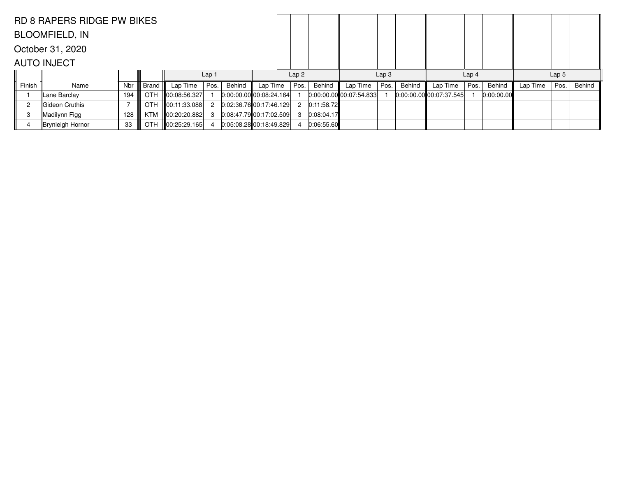|        | <b>RD 8 RAPERS RIDGE PW BIKES</b> |            |              |                    |                  |        |                             |      |            |                             |                  |        |                         |                  |            |          |      |        |
|--------|-----------------------------------|------------|--------------|--------------------|------------------|--------|-----------------------------|------|------------|-----------------------------|------------------|--------|-------------------------|------------------|------------|----------|------|--------|
|        | <b>BLOOMFIELD, IN</b>             |            |              |                    |                  |        |                             |      |            |                             |                  |        |                         |                  |            |          |      |        |
|        | October 31, 2020                  |            |              |                    |                  |        |                             |      |            |                             |                  |        |                         |                  |            |          |      |        |
|        | <b>AUTO INJECT</b>                |            |              |                    |                  |        |                             |      |            |                             |                  |        |                         |                  |            |          |      |        |
|        |                                   |            |              |                    | Lap <sub>1</sub> |        |                             | Lap2 |            |                             | Lap <sub>3</sub> |        |                         | Lap <sub>4</sub> |            |          |      |        |
| Finish | Name                              | <b>Nbr</b> | <b>Brand</b> | Lap Time           | Pos.             | Behind | Lap Time                    | Pos. | Behind     | Lap Time                    | Pos.             | Behind | Lap Time                | Pos.             | Behind     | Lap Time | Pos. | Behind |
|        | Lane Barclay                      | 194        | <b>OTH</b>   | $\ 00:08:56.327\ $ |                  |        | $[0:00:00.00]$ 00:08:24.164 |      |            | $[0:00:00.00]$ 00:07:54.833 |                  |        | 0:00:00.00000:07:37.545 |                  | 0:00:00.00 |          |      |        |
| 2      | Gideon Cruthis                    |            | <b>OTH</b>   | $\ 00:11:33.088\ $ |                  |        | 0.02.36.76 00.17.46.129     | 2    | 0:11:58.72 |                             |                  |        |                         |                  |            |          |      |        |
| 3      | Madilynn Figg                     | 128        | KTM          | 00:20:20.882       |                  |        | 0.08:47.7900:17:02.509      | 3    | 0:08:04.17 |                             |                  |        |                         |                  |            |          |      |        |
|        | Brynleigh Hornor                  | 33         |              | OTH 100:25:29.165  |                  |        | 0.05:08.2800:18:49.829      |      | 0:06:55.60 |                             |                  |        |                         |                  |            |          |      |        |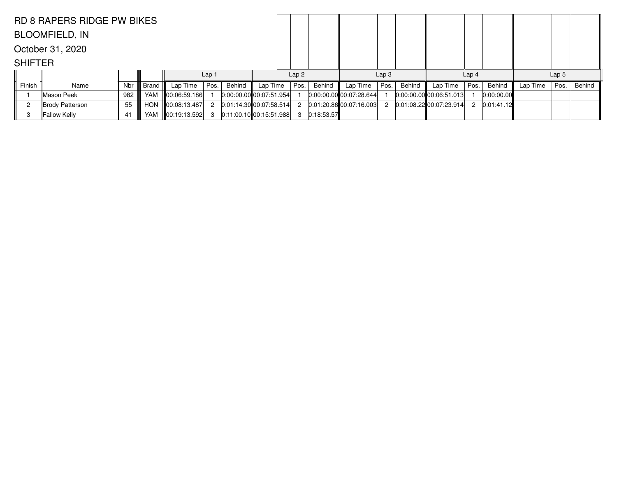|                | <b>RD 8 RAPERS RIDGE PW BIKES</b> |            |       |                    |                  |        |                         |                  |            |                           |                  |        |                             |                  |            |                  |      |        |
|----------------|-----------------------------------|------------|-------|--------------------|------------------|--------|-------------------------|------------------|------------|---------------------------|------------------|--------|-----------------------------|------------------|------------|------------------|------|--------|
|                | <b>BLOOMFIELD, IN</b>             |            |       |                    |                  |        |                         |                  |            |                           |                  |        |                             |                  |            |                  |      |        |
|                | October 31, 2020                  |            |       |                    |                  |        |                         |                  |            |                           |                  |        |                             |                  |            |                  |      |        |
| <b>SHIFTER</b> |                                   |            |       |                    |                  |        |                         |                  |            |                           |                  |        |                             |                  |            |                  |      |        |
|                |                                   |            |       |                    | Lap <sub>1</sub> |        |                         | Lap <sub>2</sub> |            |                           | Lap <sub>3</sub> |        |                             | Lap <sub>4</sub> |            | Lap <sub>5</sub> |      |        |
| Finish         | Name                              | <b>Nbr</b> | Brand | Lap Time           | Pos.             | Behind | Lap Time                | Pos.             | Behind     | Lap Time                  | Pos.             | Behind | Lap Time                    | Pos.             | Behind     | Lap Time         | Pos. | Behind |
|                | Mason Peek                        | 982        | YAM   | $\ 00:06:59.186\ $ |                  |        | 0:00:00.00 00:07:51.954 |                  |            | 0:00:00.00 00:07:28.644   |                  |        | 0:00:00.00 00:06:51.013     |                  | 0:00:00.00 |                  |      |        |
|                | Brody Patterson                   | 55         |       | HON 100:08:13.487  | 2                |        | 0:01:14.30 00:07:58.514 | 2                |            | $0:01:20.86$ 00:07:16.003 | 2                |        | $0:01:08.22$ 00:07:23.914 2 |                  | 0:01:41.12 |                  |      |        |
| 3              | Fallow Kelly                      | 41         |       | YAM 100:19:13.592  | -3               |        | 0:11:00.10 00:15:51.988 | -3               | 0:18:53.57 |                           |                  |        |                             |                  |            |                  |      |        |